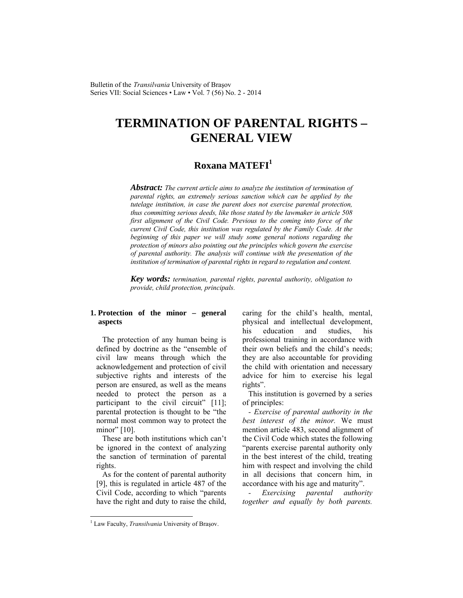Bulletin of the *Transilvania* University of Braşov Series VII: Social Sciences • Law • Vol. 7 (56) No. 2 - 2014

# **TERMINATION OF PARENTAL RIGHTS – GENERAL VIEW**

# **Roxana MATEFI1**

*Abstract: The current article aims to analyze the institution of termination of parental rights, an extremely serious sanction which can be applied by the tutelage institution, in case the parent does not exercise parental protection, thus committing serious deeds, like those stated by the lawmaker in article 508 first alignment of the Civil Code. Previous to the coming into force of the current Civil Code, this institution was regulated by the Family Code. At the beginning of this paper we will study some general notions regarding the protection of minors also pointing out the principles which govern the exercise of parental authority. The analysis will continue with the presentation of the institution of termination of parental rights in regard to regulation and content.* 

*Key words: termination, parental rights, parental authority, obligation to provide, child protection, principals.* 

### **1. Protection of the minor – general aspects**

The protection of any human being is defined by doctrine as the "ensemble of civil law means through which the acknowledgement and protection of civil subjective rights and interests of the person are ensured, as well as the means needed to protect the person as a participant to the civil circuit" [11]; parental protection is thought to be "the normal most common way to protect the minor" [10].

These are both institutions which can't be ignored in the context of analyzing the sanction of termination of parental rights.

As for the content of parental authority [9], this is regulated in article 487 of the Civil Code, according to which "parents have the right and duty to raise the child, caring for the child's health, mental, physical and intellectual development, his education and studies, his professional training in accordance with their own beliefs and the child's needs; they are also accountable for providing the child with orientation and necessary advice for him to exercise his legal rights".

This institution is governed by a series of principles:

*- Exercise of parental authority in the best interest of the minor.* We must mention article 483, second alignment of the Civil Code which states the following "parents exercise parental authority only in the best interest of the child, treating him with respect and involving the child in all decisions that concern him, in accordance with his age and maturity".

*- Exercising parental authority together and equally by both parents.* 

l

<sup>&</sup>lt;sup>1</sup> Law Faculty, *Transilvania* University of Brașov.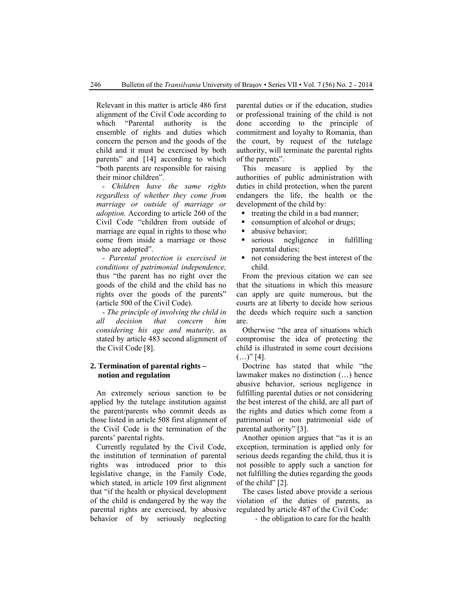Relevant in this matter is article 486 first alignment of the Civil Code according to which "Parental authority is the ensemble of rights and duties which concern the person and the goods of the child and it must be exercised by both parents" and [14] according to which "both parents are responsible for raising their minor children".

*- Children have the same rights regardless of whether they come from marriage or outside of marriage or adoption.* According to article 260 of the Civil Code "children from outside of marriage are equal in rights to those who come from inside a marriage or those who are adopted".

*- Parental protection is exercised in conditions of patrimonial independence,*  thus "the parent has no right over the goods of the child and the child has no rights over the goods of the parents" (article 500 of the Civil Code).

*- The principle of involving the child in all decision that concern him considering his age and maturity,* as stated by article 483 second alignment of the Civil Code [8].

### **2. Termination of parental rights – notion and regulation**

An extremely serious sanction to be applied by the tutelage institution against the parent/parents who commit deeds as those listed in article 508 first alignment of the Civil Code is the termination of the parents' parental rights.

Currently regulated by the Civil Code, the institution of termination of parental rights was introduced prior to this legislative change, in the Family Code, which stated, in article 109 first alignment that "if the health or physical development of the child is endangered by the way the parental rights are exercised, by abusive behavior of by seriously neglecting parental duties or if the education, studies or professional training of the child is not done according to the principle of commitment and loyalty to Romania, than the court, by request of the tutelage authority, will terminate the parental rights of the parents".

This measure is applied by the authorities of public administration with duties in child protection, when the parent endangers the life, the health or the development of the child by:

- $\blacksquare$  treating the child in a bad manner;
- consumption of alcohol or drugs;
- abusive behavior;
- serious negligence in fulfilling parental duties;
- not considering the best interest of the child.

From the previous citation we can see that the situations in which this measure can apply are quite numerous, but the courts are at liberty to decide how serious the deeds which require such a sanction are.

Otherwise "the area of situations which compromise the idea of protecting the child is illustrated in some court decisions  $($ ...)" [4].

Doctrine has stated that while "the lawmaker makes no distinction (…) hence abusive behavior, serious negligence in fulfilling parental duties or not considering the best interest of the child, are all part of the rights and duties which come from a patrimonial or non patrimonial side of parental authority" [3].

Another opinion argues that "as it is an exception, termination is applied only for serious deeds regarding the child, thus it is not possible to apply such a sanction for not fulfilling the duties regarding the goods of the child" [2].

The cases listed above provide a serious violation of the duties of parents, as regulated by article 487 of the Civil Code:

- the obligation to care for the health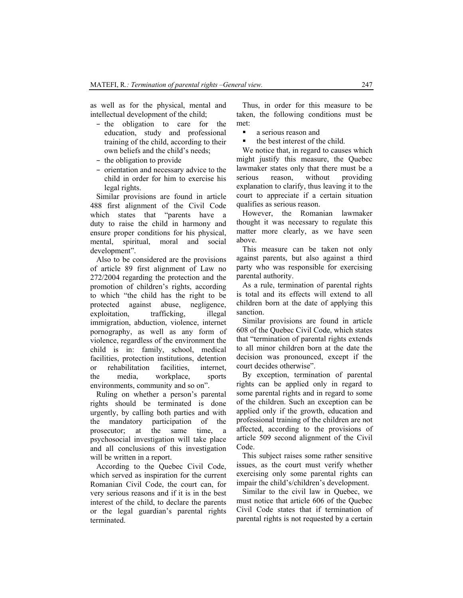as well as for the physical, mental and intellectual development of the child;

- the obligation to care for the education, study and professional training of the child, according to their own beliefs and the child's needs;
- the obligation to provide
- orientation and necessary advice to the child in order for him to exercise his legal rights.

Similar provisions are found in article 488 first alignment of the Civil Code which states that "parents have a duty to raise the child in harmony and ensure proper conditions for his physical, mental, spiritual, moral and social development".

Also to be considered are the provisions of article 89 first alignment of Law no 272/2004 regarding the protection and the promotion of children's rights, according to which "the child has the right to be protected against abuse, negligence, exploitation, trafficking, illegal immigration, abduction, violence, internet pornography, as well as any form of violence, regardless of the environment the child is in: family, school, medical facilities, protection institutions, detention or rehabilitation facilities, internet, the media, workplace, sports environments, community and so on".

Ruling on whether a person's parental rights should be terminated is done urgently, by calling both parties and with the mandatory participation of the prosecutor; at the same time, a psychosocial investigation will take place and all conclusions of this investigation will be written in a report.

According to the Quebec Civil Code, which served as inspiration for the current Romanian Civil Code, the court can, for very serious reasons and if it is in the best interest of the child, to declare the parents or the legal guardian's parental rights terminated.

Thus, in order for this measure to be taken, the following conditions must be met:

- **a** serious reason and
- the best interest of the child.

We notice that, in regard to causes which might justify this measure, the Quebec lawmaker states only that there must be a serious reason, without providing explanation to clarify, thus leaving it to the court to appreciate if a certain situation qualifies as serious reason.

However, the Romanian lawmaker thought it was necessary to regulate this matter more clearly, as we have seen above.

This measure can be taken not only against parents, but also against a third party who was responsible for exercising parental authority.

As a rule, termination of parental rights is total and its effects will extend to all children born at the date of applying this sanction.

Similar provisions are found in article 608 of the Quebec Civil Code, which states that "termination of parental rights extends to all minor children born at the date the decision was pronounced, except if the court decides otherwise".

By exception, termination of parental rights can be applied only in regard to some parental rights and in regard to some of the children. Such an exception can be applied only if the growth, education and professional training of the children are not affected, according to the provisions of article 509 second alignment of the Civil Code.

This subject raises some rather sensitive issues, as the court must verify whether exercising only some parental rights can impair the child's/children's development.

Similar to the civil law in Quebec, we must notice that article 606 of the Quebec Civil Code states that if termination of parental rights is not requested by a certain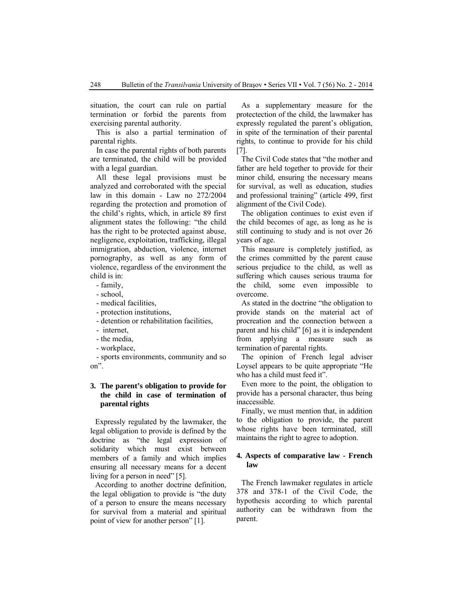situation, the court can rule on partial termination or forbid the parents from exercising parental authority.

This is also a partial termination of parental rights.

In case the parental rights of both parents are terminated, the child will be provided with a legal guardian.

All these legal provisions must be analyzed and corroborated with the special law in this domain - Law no 272/2004 regarding the protection and promotion of the child's rights, which, in article 89 first alignment states the following: "the child has the right to be protected against abuse, negligence, exploitation, trafficking, illegal immigration, abduction, violence, internet pornography, as well as any form of violence, regardless of the environment the child is in:

- family,

- school,

- medical facilities,

- protection institutions,
- detention or rehabilitation facilities,
- internet,
- the media,
- workplace,

- sports environments, community and so on".

## **3. The parent's obligation to provide for the child in case of termination of parental rights**

Expressly regulated by the lawmaker, the legal obligation to provide is defined by the doctrine as "the legal expression of solidarity which must exist between members of a family and which implies ensuring all necessary means for a decent living for a person in need" [5].

According to another doctrine definition, the legal obligation to provide is "the duty of a person to ensure the means necessary for survival from a material and spiritual point of view for another person" [1].

As a supplementary measure for the protectection of the child, the lawmaker has expressly regulated the parent's obligation, in spite of the termination of their parental rights, to continue to provide for his child [7].

The Civil Code states that "the mother and father are held together to provide for their minor child, ensuring the necessary means for survival, as well as education, studies and professional training" (article 499, first alignment of the Civil Code).

The obligation continues to exist even if the child becomes of age, as long as he is still continuing to study and is not over 26 years of age.

This measure is completely justified, as the crimes committed by the parent cause serious prejudice to the child, as well as suffering which causes serious trauma for the child, some even impossible to overcome.

As stated in the doctrine "the obligation to provide stands on the material act of procreation and the connection between a parent and his child" [6] as it is independent from applying a measure such as termination of parental rights.

The opinion of French legal adviser Loysel appears to be quite appropriate "He who has a child must feed it".

Even more to the point, the obligation to provide has a personal character, thus being inaccessible.

Finally, we must mention that, in addition to the obligation to provide, the parent whose rights have been terminated, still maintains the right to agree to adoption.

#### **4. Aspects of comparative law - French law**

The French lawmaker regulates in article 378 and 378-1 of the Civil Code, the hypothesis according to which parental authority can be withdrawn from the parent.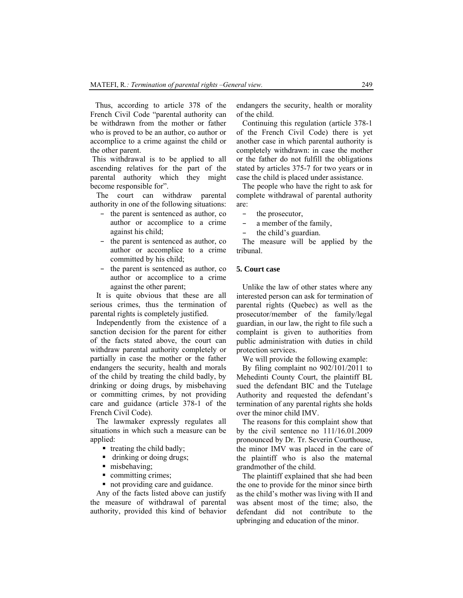Thus, according to article 378 of the French Civil Code "parental authority can be withdrawn from the mother or father who is proved to be an author, co author or accomplice to a crime against the child or the other parent.

 This withdrawal is to be applied to all ascending relatives for the part of the parental authority which they might become responsible for".

The court can withdraw parental authority in one of the following situations:

- the parent is sentenced as author, co author or accomplice to a crime against his child;
- the parent is sentenced as author, co author or accomplice to a crime committed by his child;
- the parent is sentenced as author, co author or accomplice to a crime against the other parent;

It is quite obvious that these are all serious crimes, thus the termination of parental rights is completely justified.

Independently from the existence of a sanction decision for the parent for either of the facts stated above, the court can withdraw parental authority completely or partially in case the mother or the father endangers the security, health and morals of the child by treating the child badly, by drinking or doing drugs, by misbehaving or committing crimes, by not providing care and guidance (article 378-1 of the French Civil Code).

The lawmaker expressly regulates all situations in which such a measure can be applied:

- $\blacksquare$  treating the child badly;
- drinking or doing drugs;
- misbehaving:
- committing crimes;
- not providing care and guidance.

Any of the facts listed above can justify the measure of withdrawal of parental authority, provided this kind of behavior

endangers the security, health or morality of the child.

Continuing this regulation (article 378-1 of the French Civil Code) there is yet another case in which parental authority is completely withdrawn: in case the mother or the father do not fulfill the obligations stated by articles 375-7 for two years or in case the child is placed under assistance.

The people who have the right to ask for complete withdrawal of parental authority are:

- the prosecutor,
- a member of the family,
- the child's guardian.

The measure will be applied by the tribunal.

### **5. Court case**

Unlike the law of other states where any interested person can ask for termination of parental rights (Quebec) as well as the prosecutor/member of the family/legal guardian, in our law, the right to file such a complaint is given to authorities from public administration with duties in child protection services.

We will provide the following example:

By filing complaint no 902/101/2011 to Mehedinti County Court, the plaintiff BL sued the defendant BIC and the Tutelage Authority and requested the defendant's termination of any parental rights she holds over the minor child IMV.

The reasons for this complaint show that by the civil sentence no 111/16.01.2009 pronounced by Dr. Tr. Severin Courthouse, the minor IMV was placed in the care of the plaintiff who is also the maternal grandmother of the child.

The plaintiff explained that she had been the one to provide for the minor since birth as the child's mother was living with II and was absent most of the time; also, the defendant did not contribute to the upbringing and education of the minor.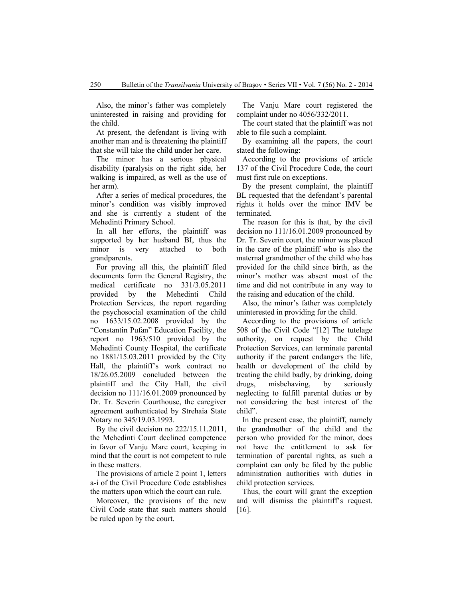Also, the minor's father was completely uninterested in raising and providing for the child.

At present, the defendant is living with another man and is threatening the plaintiff that she will take the child under her care.

The minor has a serious physical disability (paralysis on the right side, her walking is impaired, as well as the use of her arm).

After a series of medical procedures, the minor's condition was visibly improved and she is currently a student of the Mehedinti Primary School.

In all her efforts, the plaintiff was supported by her husband BI, thus the minor is very attached to both grandparents.

For proving all this, the plaintiff filed documents form the General Registry, the medical certificate no 331/3.05.2011 provided by the Mehedinti Child Protection Services, the report regarding the psychosocial examination of the child no 1633/15.02.2008 provided by the "Constantin Pufan" Education Facility, the report no 1963/510 provided by the Mehedinti County Hospital, the certificate no 1881/15.03.2011 provided by the City Hall, the plaintiff's work contract no 18/26.05.2009 concluded between the plaintiff and the City Hall, the civil decision no 111/16.01.2009 pronounced by Dr. Tr. Severin Courthouse, the caregiver agreement authenticated by Strehaia State Notary no 345/19.03.1993.

By the civil decision no 222/15.11.2011, the Mehedinti Court declined competence in favor of Vanju Mare court, keeping in mind that the court is not competent to rule in these matters.

The provisions of article 2 point 1, letters a-i of the Civil Procedure Code establishes the matters upon which the court can rule.

Moreover, the provisions of the new Civil Code state that such matters should be ruled upon by the court.

The Vanju Mare court registered the complaint under no 4056/332/2011.

The court stated that the plaintiff was not able to file such a complaint.

By examining all the papers, the court stated the following:

According to the provisions of article 137 of the Civil Procedure Code, the court must first rule on exceptions.

By the present complaint, the plaintiff BL requested that the defendant's parental rights it holds over the minor IMV be terminated.

The reason for this is that, by the civil decision no 111/16.01.2009 pronounced by Dr. Tr. Severin court, the minor was placed in the care of the plaintiff who is also the maternal grandmother of the child who has provided for the child since birth, as the minor's mother was absent most of the time and did not contribute in any way to the raising and education of the child.

Also, the minor's father was completely uninterested in providing for the child.

According to the provisions of article 508 of the Civil Code "[12] The tutelage authority, on request by the Child Protection Services, can terminate parental authority if the parent endangers the life, health or development of the child by treating the child badly, by drinking, doing drugs, misbehaving, by seriously neglecting to fulfill parental duties or by not considering the best interest of the child".

In the present case, the plaintiff, namely the grandmother of the child and the person who provided for the minor, does not have the entitlement to ask for termination of parental rights, as such a complaint can only be filed by the public administration authorities with duties in child protection services.

Thus, the court will grant the exception and will dismiss the plaintiff's request. [16].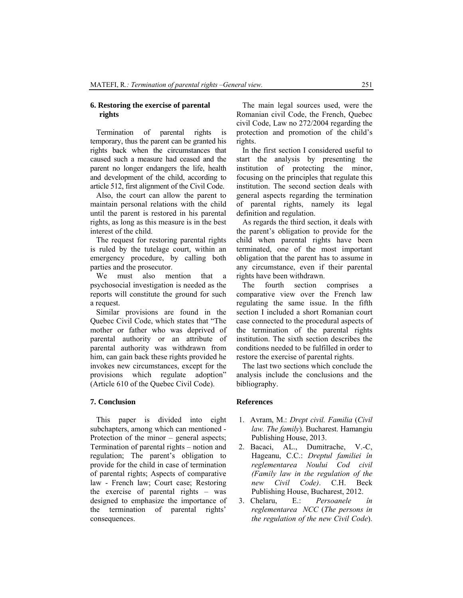#### **6. Restoring the exercise of parental rights**

Termination of parental rights is temporary, thus the parent can be granted his rights back when the circumstances that caused such a measure had ceased and the parent no longer endangers the life, health and development of the child, according to article 512, first alignment of the Civil Code.

Also, the court can allow the parent to maintain personal relations with the child until the parent is restored in his parental rights, as long as this measure is in the best interest of the child.

The request for restoring parental rights is ruled by the tutelage court, within an emergency procedure, by calling both parties and the prosecutor.

We must also mention that a psychosocial investigation is needed as the reports will constitute the ground for such a request.

Similar provisions are found in the Quebec Civil Code, which states that "The mother or father who was deprived of parental authority or an attribute of parental authority was withdrawn from him, can gain back these rights provided he invokes new circumstances, except for the provisions which regulate adoption" (Article 610 of the Quebec Civil Code).

#### **7. Conclusion**

This paper is divided into eight subchapters, among which can mentioned - Protection of the minor – general aspects; Termination of parental rights – notion and regulation; The parent's obligation to provide for the child in case of termination of parental rights; Aspects of comparative law - French law; Court case; Restoring the exercise of parental rights – was designed to emphasize the importance of the termination of parental rights' consequences.

The main legal sources used, were the Romanian civil Code, the French, Quebec civil Code, Law no 272/2004 regarding the protection and promotion of the child's rights.

 In the first section I considered useful to start the analysis by presenting the institution of protecting the minor, focusing on the principles that regulate this institution. The second section deals with general aspects regarding the termination of parental rights, namely its legal definition and regulation.

 As regards the third section, it deals with the parent's obligation to provide for the child when parental rights have been terminated, one of the most important obligation that the parent has to assume in any circumstance, even if their parental rights have been withdrawn.

 The fourth section comprises a comparative view over the French law regulating the same issue. In the fifth section I included a short Romanian court case connected to the procedural aspects of the termination of the parental rights institution. The sixth section describes the conditions needed to be fulfilled in order to restore the exercise of parental rights.

The last two sections which conclude the analysis include the conclusions and the bibliography.

#### **References**

- 1. Avram, M.: *Drept civil. Familia* (*Civil law. The family*). Bucharest. Hamangiu Publishing House, 2013.
- 2. Bacaci, AL., Dumitrache, V.-C, Hageanu, C.C.: *Dreptul familiei în reglementarea Noului Cod civil (Family law in the regulation of the new Civil Code)*. C.H. Beck Publishing House, Bucharest, 2012.
- 3. Chelaru, E.: *Persoanele în reglementarea NCC* (*The persons in the regulation of the new Civil Code*).